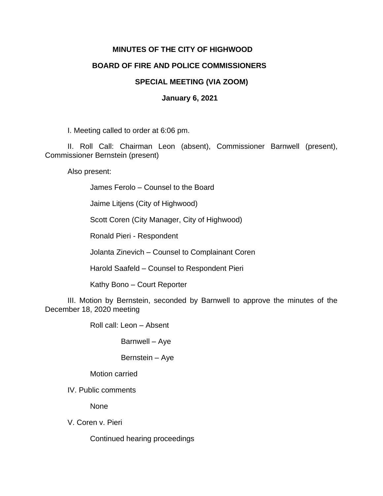## **MINUTES OF THE CITY OF HIGHWOOD**

## **BOARD OF FIRE AND POLICE COMMISSIONERS**

## **SPECIAL MEETING (VIA ZOOM)**

## **January 6, 2021**

I. Meeting called to order at 6:06 pm.

II. Roll Call: Chairman Leon (absent), Commissioner Barnwell (present), Commissioner Bernstein (present)

Also present:

James Ferolo – Counsel to the Board

Jaime Litjens (City of Highwood)

Scott Coren (City Manager, City of Highwood)

Ronald Pieri - Respondent

Jolanta Zinevich – Counsel to Complainant Coren

Harold Saafeld – Counsel to Respondent Pieri

Kathy Bono – Court Reporter

III. Motion by Bernstein, seconded by Barnwell to approve the minutes of the December 18, 2020 meeting

Roll call: Leon – Absent

Barnwell – Aye

Bernstein – Aye

Motion carried

IV. Public comments

None

V. Coren v. Pieri

Continued hearing proceedings